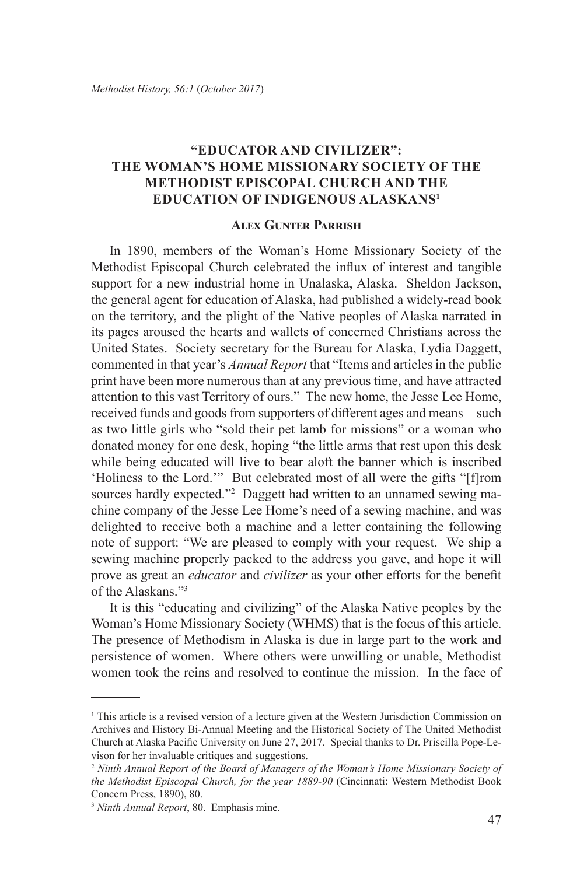## **"Educator and Civilizer": The Woman's Home Missionary Society of the Methodist Episcopal Church and the Education of Indigenous Alaskans1**

## **Alex Gunter Parrish**

In 1890, members of the Woman's Home Missionary Society of the Methodist Episcopal Church celebrated the influx of interest and tangible support for a new industrial home in Unalaska, Alaska. Sheldon Jackson, the general agent for education of Alaska, had published a widely-read book on the territory, and the plight of the Native peoples of Alaska narrated in its pages aroused the hearts and wallets of concerned Christians across the United States. Society secretary for the Bureau for Alaska, Lydia Daggett, commented in that year's *Annual Report* that "Items and articles in the public print have been more numerous than at any previous time, and have attracted attention to this vast Territory of ours." The new home, the Jesse Lee Home, received funds and goods from supporters of different ages and means—such as two little girls who "sold their pet lamb for missions" or a woman who donated money for one desk, hoping "the little arms that rest upon this desk while being educated will live to bear aloft the banner which is inscribed 'Holiness to the Lord.'" But celebrated most of all were the gifts "[f]rom sources hardly expected."<sup>2</sup> Daggett had written to an unnamed sewing machine company of the Jesse Lee Home's need of a sewing machine, and was delighted to receive both a machine and a letter containing the following note of support: "We are pleased to comply with your request. We ship a sewing machine properly packed to the address you gave, and hope it will prove as great an *educator* and *civilizer* as your other efforts for the benefit of the Alaskans."3

It is this "educating and civilizing" of the Alaska Native peoples by the Woman's Home Missionary Society (WHMS) that is the focus of this article. The presence of Methodism in Alaska is due in large part to the work and persistence of women. Where others were unwilling or unable, Methodist women took the reins and resolved to continue the mission. In the face of

<sup>&</sup>lt;sup>1</sup> This article is a revised version of a lecture given at the Western Jurisdiction Commission on Archives and History Bi-Annual Meeting and the Historical Society of The United Methodist Church at Alaska Pacific University on June 27, 2017. Special thanks to Dr. Priscilla Pope-Levison for her invaluable critiques and suggestions.

<sup>2</sup> *Ninth Annual Report of the Board of Managers of the Woman's Home Missionary Society of the Methodist Episcopal Church, for the year 1889-90* (Cincinnati: Western Methodist Book Concern Press, 1890), 80.

<sup>3</sup> *Ninth Annual Report*, 80.Emphasis mine.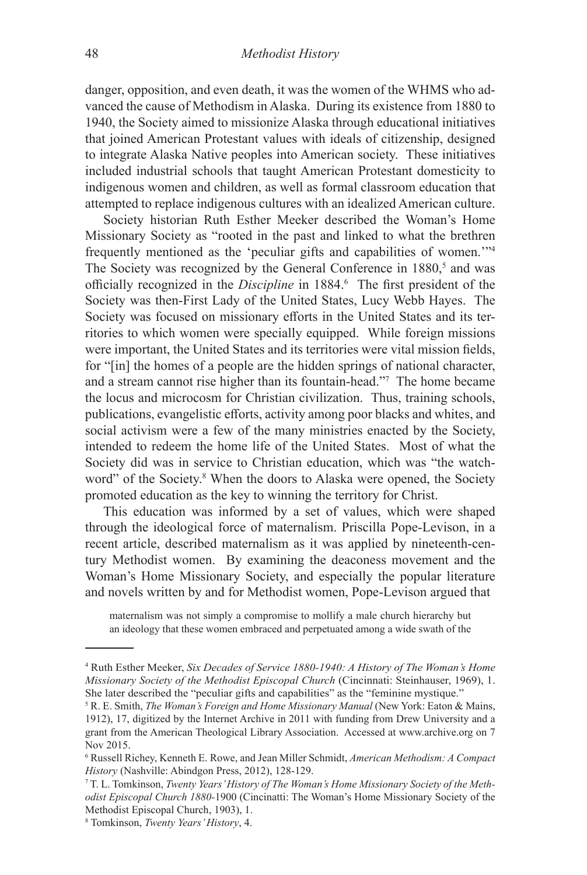danger, opposition, and even death, it was the women of the WHMS who advanced the cause of Methodism in Alaska. During its existence from 1880 to 1940, the Society aimed to missionize Alaska through educational initiatives that joined American Protestant values with ideals of citizenship, designed to integrate Alaska Native peoples into American society. These initiatives included industrial schools that taught American Protestant domesticity to indigenous women and children, as well as formal classroom education that attempted to replace indigenous cultures with an idealized American culture.

Society historian Ruth Esther Meeker described the Woman's Home Missionary Society as "rooted in the past and linked to what the brethren frequently mentioned as the 'peculiar gifts and capabilities of women.'"4 The Society was recognized by the General Conference in 1880,<sup>5</sup> and was officially recognized in the *Discipline* in 1884.<sup>6</sup> The first president of the Society was then-First Lady of the United States, Lucy Webb Hayes. The Society was focused on missionary efforts in the United States and its territories to which women were specially equipped. While foreign missions were important, the United States and its territories were vital mission fields, for "[in] the homes of a people are the hidden springs of national character, and a stream cannot rise higher than its fountain-head."<sup>7</sup> The home became the locus and microcosm for Christian civilization. Thus, training schools, publications, evangelistic efforts, activity among poor blacks and whites, and social activism were a few of the many ministries enacted by the Society, intended to redeem the home life of the United States. Most of what the Society did was in service to Christian education, which was "the watchword" of the Society.<sup>8</sup> When the doors to Alaska were opened, the Society promoted education as the key to winning the territory for Christ.

This education was informed by a set of values, which were shaped through the ideological force of maternalism. Priscilla Pope-Levison, in a recent article, described maternalism as it was applied by nineteenth-century Methodist women. By examining the deaconess movement and the Woman's Home Missionary Society, and especially the popular literature and novels written by and for Methodist women, Pope-Levison argued that

maternalism was not simply a compromise to mollify a male church hierarchy but an ideology that these women embraced and perpetuated among a wide swath of the

<sup>4</sup> Ruth Esther Meeker, *Six Decades of Service 1880-1940: A History of The Woman's Home Missionary Society of the Methodist Episcopal Church* (Cincinnati: Steinhauser, 1969), 1. She later described the "peculiar gifts and capabilities" as the "feminine mystique."

<sup>5</sup> R. E. Smith, *The Woman's Foreign and Home Missionary Manual* (New York: Eaton & Mains, 1912), 17, digitized by the Internet Archive in 2011 with funding from Drew University and a grant from the American Theological Library Association. Accessed at www.archive.org on 7 Nov 2015.

<sup>6</sup> Russell Richey, Kenneth E. Rowe, and Jean Miller Schmidt, *American Methodism: A Compact History* (Nashville: Abindgon Press, 2012), 128-129.

<sup>7</sup> T. L. Tomkinson, *Twenty Years' History of The Woman's Home Missionary Society of the Methodist Episcopal Church 1880-*1900 (Cincinatti: The Woman's Home Missionary Society of the Methodist Episcopal Church, 1903), 1.

<sup>8</sup> Tomkinson, *Twenty Years' History*, 4.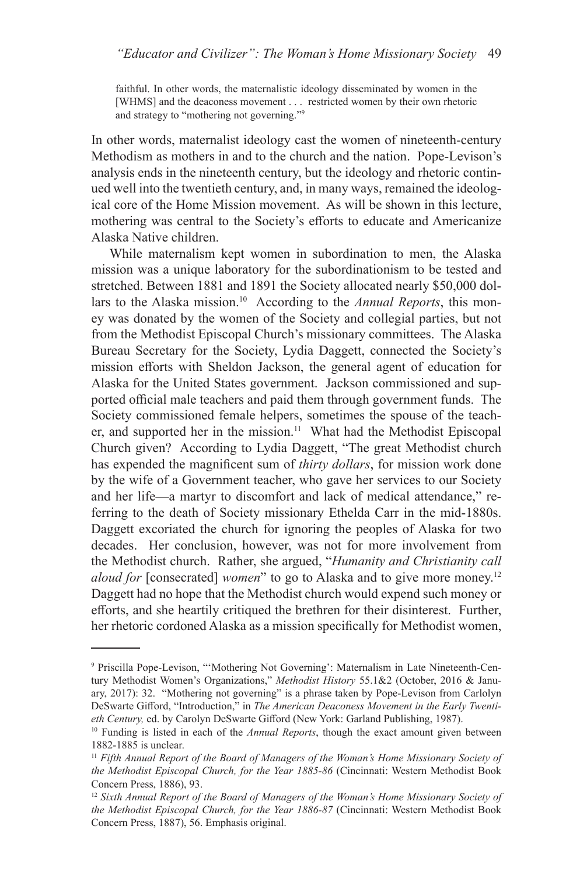faithful. In other words, the maternalistic ideology disseminated by women in the [WHMS] and the deaconess movement . . . restricted women by their own rhetoric and strategy to "mothering not governing."9

In other words, maternalist ideology cast the women of nineteenth-century Methodism as mothers in and to the church and the nation. Pope-Levison's analysis ends in the nineteenth century, but the ideology and rhetoric continued well into the twentieth century, and, in many ways, remained the ideological core of the Home Mission movement. As will be shown in this lecture, mothering was central to the Society's efforts to educate and Americanize Alaska Native children.

While maternalism kept women in subordination to men, the Alaska mission was a unique laboratory for the subordinationism to be tested and stretched. Between 1881 and 1891 the Society allocated nearly \$50,000 dollars to the Alaska mission.10 According to the *Annual Reports*, this money was donated by the women of the Society and collegial parties, but not from the Methodist Episcopal Church's missionary committees. The Alaska Bureau Secretary for the Society, Lydia Daggett, connected the Society's mission efforts with Sheldon Jackson, the general agent of education for Alaska for the United States government. Jackson commissioned and supported official male teachers and paid them through government funds. The Society commissioned female helpers, sometimes the spouse of the teacher, and supported her in the mission.<sup>11</sup> What had the Methodist Episcopal Church given? According to Lydia Daggett, "The great Methodist church has expended the magnificent sum of *thirty dollars*, for mission work done by the wife of a Government teacher, who gave her services to our Society and her life—a martyr to discomfort and lack of medical attendance," referring to the death of Society missionary Ethelda Carr in the mid-1880s. Daggett excoriated the church for ignoring the peoples of Alaska for two decades. Her conclusion, however, was not for more involvement from the Methodist church. Rather, she argued, "*Humanity and Christianity call aloud for* [consecrated] *women*" to go to Alaska and to give more money.<sup>12</sup> Daggett had no hope that the Methodist church would expend such money or efforts, and she heartily critiqued the brethren for their disinterest. Further, her rhetoric cordoned Alaska as a mission specifically for Methodist women,

<sup>9</sup> Priscilla Pope-Levison, "'Mothering Not Governing': Maternalism in Late Nineteenth-Century Methodist Women's Organizations," *Methodist History* 55.1&2 (October, 2016 & January, 2017): 32. "Mothering not governing" is a phrase taken by Pope-Levison from Carlolyn DeSwarte Gifford, "Introduction," in *The American Deaconess Movement in the Early Twentieth Century,* ed. by Carolyn DeSwarte Gifford (New York: Garland Publishing, 1987).

<sup>&</sup>lt;sup>10</sup> Funding is listed in each of the *Annual Reports*, though the exact amount given between 1882-1885 is unclear.

<sup>&</sup>lt;sup>11</sup> Fifth Annual Report of the Board of Managers of the Woman's Home Missionary Society of *the Methodist Episcopal Church, for the Year 1885-86* (Cincinnati: Western Methodist Book Concern Press, 1886), 93.

<sup>&</sup>lt;sup>12</sup> Sixth Annual Report of the Board of Managers of the Woman's Home Missionary Society of *the Methodist Episcopal Church, for the Year 1886-87* (Cincinnati: Western Methodist Book Concern Press, 1887), 56. Emphasis original.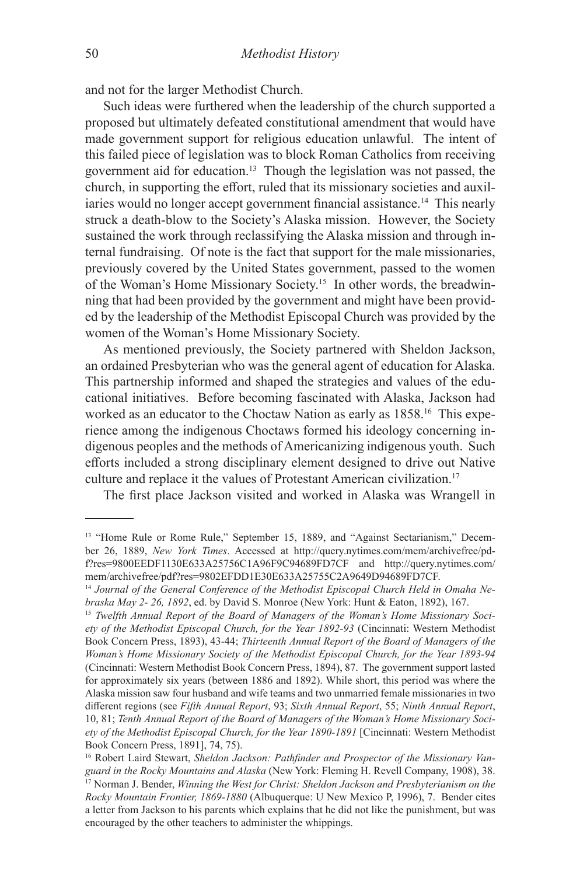and not for the larger Methodist Church.

Such ideas were furthered when the leadership of the church supported a proposed but ultimately defeated constitutional amendment that would have made government support for religious education unlawful. The intent of this failed piece of legislation was to block Roman Catholics from receiving government aid for education.13 Though the legislation was not passed, the church, in supporting the effort, ruled that its missionary societies and auxiliaries would no longer accept government financial assistance.14 This nearly struck a death-blow to the Society's Alaska mission. However, the Society sustained the work through reclassifying the Alaska mission and through internal fundraising. Of note is the fact that support for the male missionaries, previously covered by the United States government, passed to the women of the Woman's Home Missionary Society.15 In other words, the breadwinning that had been provided by the government and might have been provided by the leadership of the Methodist Episcopal Church was provided by the women of the Woman's Home Missionary Society.

As mentioned previously, the Society partnered with Sheldon Jackson, an ordained Presbyterian who was the general agent of education for Alaska. This partnership informed and shaped the strategies and values of the educational initiatives. Before becoming fascinated with Alaska, Jackson had worked as an educator to the Choctaw Nation as early as 1858.16 This experience among the indigenous Choctaws formed his ideology concerning indigenous peoples and the methods of Americanizing indigenous youth. Such efforts included a strong disciplinary element designed to drive out Native culture and replace it the values of Protestant American civilization.<sup>17</sup>

The first place Jackson visited and worked in Alaska was Wrangell in

<sup>&</sup>lt;sup>13</sup> "Home Rule or Rome Rule," September 15, 1889, and "Against Sectarianism," December 26, 1889, *New York Times*. Accessed at http://query.nytimes.com/mem/archivefree/pdf?res=9800EEDF1130E633A25756C1A96F9C94689FD7CF and http://query.nytimes.com/ mem/archivefree/pdf?res=9802EFDD1E30E633A25755C2A9649D94689FD7CF.

<sup>&</sup>lt;sup>14</sup> *Journal of the General Conference of the Methodist Episcopal Church Held in Omaha Ne-<br><i>braska May 2- 26, 1892*, ed. by David S. Monroe (New York: Hunt & Eaton, 1892), 167.

<sup>&</sup>lt;sup>15</sup> Twelfth Annual Report of the Board of Managers of the Woman's Home Missionary Soci*ety of the Methodist Episcopal Church, for the Year 1892-93* (Cincinnati: Western Methodist Book Concern Press, 1893), 43-44; *Thirteenth Annual Report of the Board of Managers of the Woman's Home Missionary Society of the Methodist Episcopal Church, for the Year 1893-94*  (Cincinnati: Western Methodist Book Concern Press, 1894), 87. The government support lasted for approximately six years (between 1886 and 1892). While short, this period was where the Alaska mission saw four husband and wife teams and two unmarried female missionaries in two different regions (see *Fifth Annual Report*, 93; *Sixth Annual Report*, 55; *Ninth Annual Report*, 10, 81; *Tenth Annual Report of the Board of Managers of the Woman's Home Missionary Society of the Methodist Episcopal Church, for the Year 1890-1891* [Cincinnati: Western Methodist Book Concern Press, 1891], 74, 75).

<sup>&</sup>lt;sup>16</sup> Robert Laird Stewart, *Sheldon Jackson: Pathfinder and Prospector of the Missionary Vanguard in the Rocky Mountains and Alaska* (New York: Fleming H. Revell Company, 1908), 38. <sup>17</sup> Norman J. Bender, *Winning the West for Christ: Sheldon Jackson and Presbyterianism on the Rocky Mountain Frontier, 1869-1880* (Albuquerque: U New Mexico P, 1996), 7. Bender cites a letter from Jackson to his parents which explains that he did not like the punishment, but was encouraged by the other teachers to administer the whippings.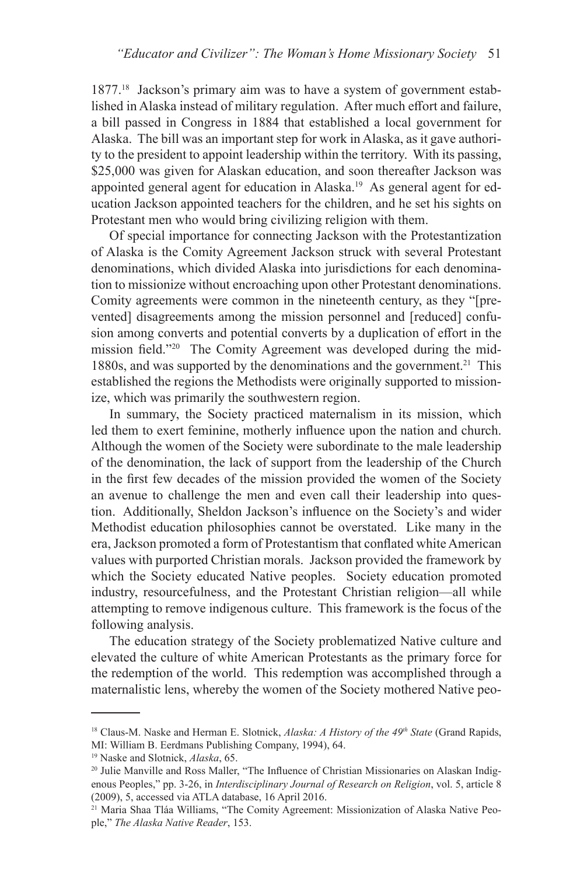1877.18 Jackson's primary aim was to have a system of government established in Alaska instead of military regulation. After much effort and failure, a bill passed in Congress in 1884 that established a local government for Alaska. The bill was an important step for work in Alaska, as it gave authority to the president to appoint leadership within the territory. With its passing, \$25,000 was given for Alaskan education, and soon thereafter Jackson was appointed general agent for education in Alaska.19 As general agent for education Jackson appointed teachers for the children, and he set his sights on Protestant men who would bring civilizing religion with them.

Of special importance for connecting Jackson with the Protestantization of Alaska is the Comity Agreement Jackson struck with several Protestant denominations, which divided Alaska into jurisdictions for each denomination to missionize without encroaching upon other Protestant denominations. Comity agreements were common in the nineteenth century, as they "[prevented] disagreements among the mission personnel and [reduced] confusion among converts and potential converts by a duplication of effort in the mission field."20 The Comity Agreement was developed during the mid-1880s, and was supported by the denominations and the government.<sup>21</sup> This established the regions the Methodists were originally supported to missionize, which was primarily the southwestern region.

In summary, the Society practiced maternalism in its mission, which led them to exert feminine, motherly influence upon the nation and church. Although the women of the Society were subordinate to the male leadership of the denomination, the lack of support from the leadership of the Church in the first few decades of the mission provided the women of the Society an avenue to challenge the men and even call their leadership into question. Additionally, Sheldon Jackson's influence on the Society's and wider Methodist education philosophies cannot be overstated. Like many in the era, Jackson promoted a form of Protestantism that conflated white American values with purported Christian morals. Jackson provided the framework by which the Society educated Native peoples. Society education promoted industry, resourcefulness, and the Protestant Christian religion—all while attempting to remove indigenous culture. This framework is the focus of the following analysis.

The education strategy of the Society problematized Native culture and elevated the culture of white American Protestants as the primary force for the redemption of the world. This redemption was accomplished through a maternalistic lens, whereby the women of the Society mothered Native peo-

<sup>18</sup> Claus-M. Naske and Herman E. Slotnick, *Alaska: A History of the 49th State* (Grand Rapids, MI: William B. Eerdmans Publishing Company, 1994), 64.

<sup>19</sup> Naske and Slotnick, *Alaska*, 65.

<sup>&</sup>lt;sup>20</sup> Julie Manville and Ross Maller, "The Influence of Christian Missionaries on Alaskan Indigenous Peoples," pp. 3-26, in *Interdisciplinary Journal of Research on Religion*, vol. 5, article 8 (2009), 5, accessed via ATLA database, 16 April 2016.

<sup>21</sup> Maria Shaa Tláa Williams, "The Comity Agreement: Missionization of Alaska Native People," *The Alaska Native Reader*, 153.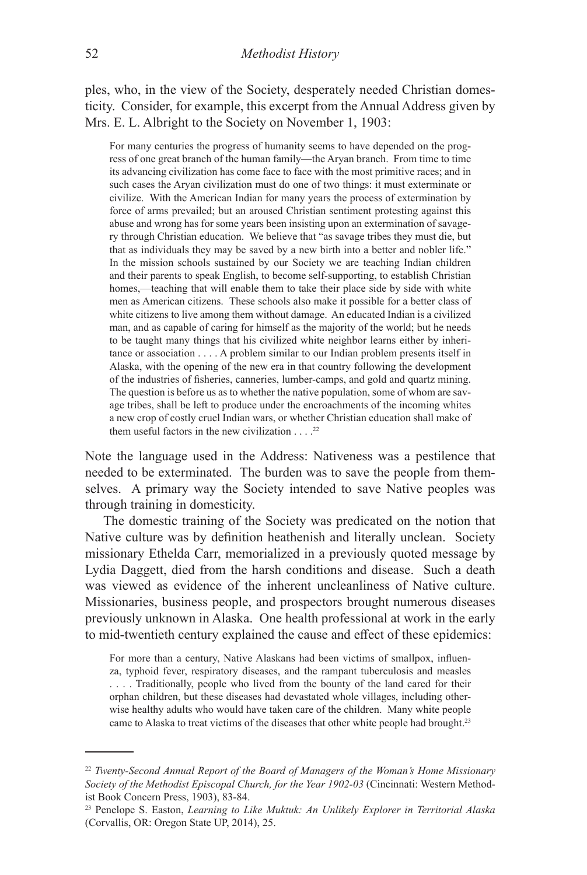ples, who, in the view of the Society, desperately needed Christian domesticity. Consider, for example, this excerpt from the Annual Address given by Mrs. E. L. Albright to the Society on November 1, 1903:

For many centuries the progress of humanity seems to have depended on the progress of one great branch of the human family—the Aryan branch. From time to time its advancing civilization has come face to face with the most primitive races; and in such cases the Aryan civilization must do one of two things: it must exterminate or civilize. With the American Indian for many years the process of extermination by force of arms prevailed; but an aroused Christian sentiment protesting against this abuse and wrong has for some years been insisting upon an extermination of savagery through Christian education. We believe that "as savage tribes they must die, but that as individuals they may be saved by a new birth into a better and nobler life." In the mission schools sustained by our Society we are teaching Indian children and their parents to speak English, to become self-supporting, to establish Christian homes,—teaching that will enable them to take their place side by side with white men as American citizens. These schools also make it possible for a better class of white citizens to live among them without damage. An educated Indian is a civilized man, and as capable of caring for himself as the majority of the world; but he needs to be taught many things that his civilized white neighbor learns either by inheritance or association . . . . A problem similar to our Indian problem presents itself in Alaska, with the opening of the new era in that country following the development of the industries of fisheries, canneries, lumber-camps, and gold and quartz mining. The question is before us as to whether the native population, some of whom are savage tribes, shall be left to produce under the encroachments of the incoming whites a new crop of costly cruel Indian wars, or whether Christian education shall make of them useful factors in the new civilization  $\dots$ .<sup>22</sup>

Note the language used in the Address: Nativeness was a pestilence that needed to be exterminated. The burden was to save the people from themselves. A primary way the Society intended to save Native peoples was through training in domesticity.

The domestic training of the Society was predicated on the notion that Native culture was by definition heathenish and literally unclean. Society missionary Ethelda Carr, memorialized in a previously quoted message by Lydia Daggett, died from the harsh conditions and disease. Such a death was viewed as evidence of the inherent uncleanliness of Native culture. Missionaries, business people, and prospectors brought numerous diseases previously unknown in Alaska. One health professional at work in the early to mid-twentieth century explained the cause and effect of these epidemics:

For more than a century, Native Alaskans had been victims of smallpox, influenza, typhoid fever, respiratory diseases, and the rampant tuberculosis and measles . . . . Traditionally, people who lived from the bounty of the land cared for their orphan children, but these diseases had devastated whole villages, including otherwise healthy adults who would have taken care of the children. Many white people came to Alaska to treat victims of the diseases that other white people had brought.<sup>23</sup>

<sup>22</sup> *Twenty-Second Annual Report of the Board of Managers of the Woman's Home Missionary Society of the Methodist Episcopal Church, for the Year 1902-03* (Cincinnati: Western Methodist Book Concern Press, 1903), 83-84.

<sup>23</sup> Penelope S. Easton, *Learning to Like Muktuk: An Unlikely Explorer in Territorial Alaska*  (Corvallis, OR: Oregon State UP, 2014), 25.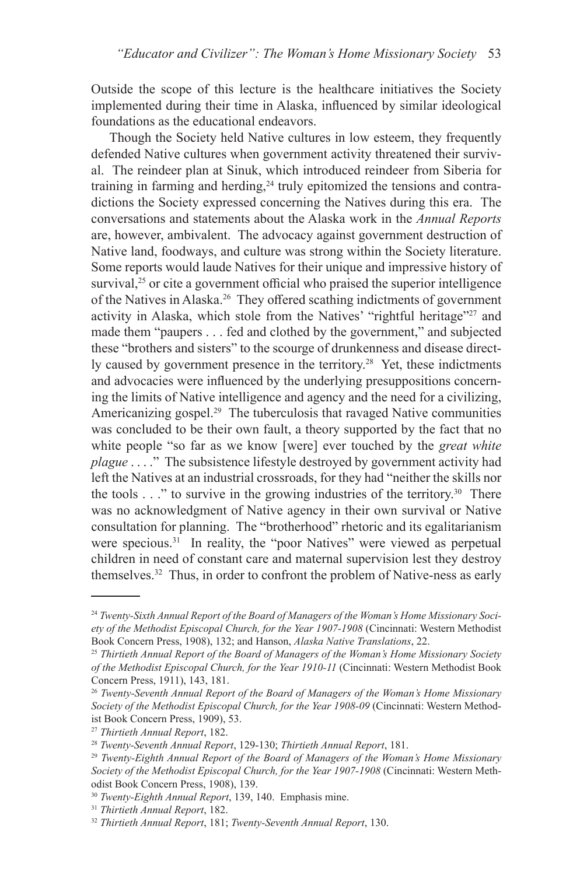Outside the scope of this lecture is the healthcare initiatives the Society implemented during their time in Alaska, influenced by similar ideological foundations as the educational endeavors.

Though the Society held Native cultures in low esteem, they frequently defended Native cultures when government activity threatened their survival. The reindeer plan at Sinuk, which introduced reindeer from Siberia for training in farming and herding,<sup>24</sup> truly epitomized the tensions and contradictions the Society expressed concerning the Natives during this era. The conversations and statements about the Alaska work in the *Annual Reports* are, however, ambivalent. The advocacy against government destruction of Native land, foodways, and culture was strong within the Society literature. Some reports would laude Natives for their unique and impressive history of survival, $25$  or cite a government official who praised the superior intelligence of the Natives in Alaska.26 They offered scathing indictments of government activity in Alaska, which stole from the Natives' "rightful heritage"<sup>27</sup> and made them "paupers . . . fed and clothed by the government," and subjected these "brothers and sisters" to the scourge of drunkenness and disease directly caused by government presence in the territory.<sup>28</sup> Yet, these indictments and advocacies were influenced by the underlying presuppositions concerning the limits of Native intelligence and agency and the need for a civilizing, Americanizing gospel.<sup>29</sup> The tuberculosis that ravaged Native communities was concluded to be their own fault, a theory supported by the fact that no white people "so far as we know [were] ever touched by the *great white plague* . . . ." The subsistence lifestyle destroyed by government activity had left the Natives at an industrial crossroads, for they had "neither the skills nor the tools  $\ldots$ " to survive in the growing industries of the territory.<sup>30</sup> There was no acknowledgment of Native agency in their own survival or Native consultation for planning. The "brotherhood" rhetoric and its egalitarianism were specious.<sup>31</sup> In reality, the "poor Natives" were viewed as perpetual children in need of constant care and maternal supervision lest they destroy themselves.32 Thus, in order to confront the problem of Native-ness as early

<sup>24</sup> *Twenty-Sixth Annual Report of the Board of Managers of the Woman's Home Missionary Society of the Methodist Episcopal Church, for the Year 1907-1908* (Cincinnati: Western Methodist Book Concern Press, 1908), 132; and Hanson, *Alaska Native Translations*, 22.

<sup>25</sup> *Thirtieth Annual Report of the Board of Managers of the Woman's Home Missionary Society of the Methodist Episcopal Church, for the Year 1910-11* (Cincinnati: Western Methodist Book Concern Press, 1911), 143, 181.

<sup>26</sup> *Twenty-Seventh Annual Report of the Board of Managers of the Woman's Home Missionary Society of the Methodist Episcopal Church, for the Year 1908-09* (Cincinnati: Western Methodist Book Concern Press, 1909), 53.

<sup>27</sup> *Thirtieth Annual Report*, 182. 28 *Twenty-Seventh Annual Report*, 129-130; *Thirtieth Annual Report*, 181. 29 *Twenty-Eighth Annual Report of the Board of Managers of the Woman's Home Missionary Society of the Methodist Episcopal Church, for the Year 1907-1908* (Cincinnati: Western Methodist Book Concern Press, 1908), 139.<br><sup>30</sup> Twenty-Eighth Annual Report, 139, 140. Emphasis mine.

<sup>30</sup> *Twenty-Eighth Annual Report*, 139, 140. Emphasis mine. 31 *Thirtieth Annual Report*, 182. 32 *Thirtieth Annual Report*, 181; *Twenty-Seventh Annual Report*, 130.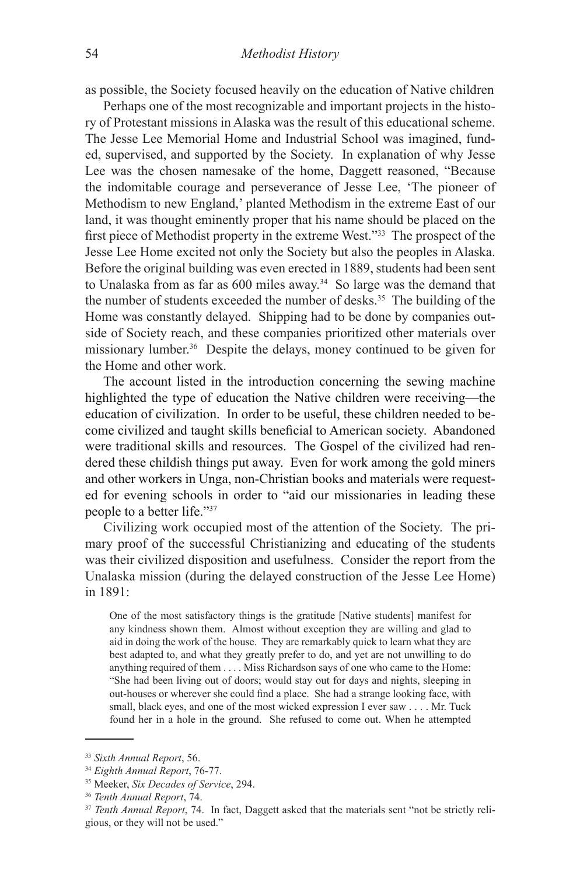as possible, the Society focused heavily on the education of Native children

Perhaps one of the most recognizable and important projects in the history of Protestant missions in Alaska was the result of this educational scheme. The Jesse Lee Memorial Home and Industrial School was imagined, funded, supervised, and supported by the Society. In explanation of why Jesse Lee was the chosen namesake of the home, Daggett reasoned, "Because the indomitable courage and perseverance of Jesse Lee, 'The pioneer of Methodism to new England,' planted Methodism in the extreme East of our land, it was thought eminently proper that his name should be placed on the first piece of Methodist property in the extreme West."33 The prospect of the Jesse Lee Home excited not only the Society but also the peoples in Alaska. Before the original building was even erected in 1889, students had been sent to Unalaska from as far as 600 miles away.34 So large was the demand that the number of students exceeded the number of desks.35 The building of the Home was constantly delayed. Shipping had to be done by companies outside of Society reach, and these companies prioritized other materials over missionary lumber.36 Despite the delays, money continued to be given for the Home and other work.

The account listed in the introduction concerning the sewing machine highlighted the type of education the Native children were receiving—the education of civilization. In order to be useful, these children needed to become civilized and taught skills beneficial to American society. Abandoned were traditional skills and resources. The Gospel of the civilized had rendered these childish things put away. Even for work among the gold miners and other workers in Unga, non-Christian books and materials were requested for evening schools in order to "aid our missionaries in leading these people to a better life."37

Civilizing work occupied most of the attention of the Society. The primary proof of the successful Christianizing and educating of the students was their civilized disposition and usefulness. Consider the report from the Unalaska mission (during the delayed construction of the Jesse Lee Home) in 1891:

One of the most satisfactory things is the gratitude [Native students] manifest for any kindness shown them. Almost without exception they are willing and glad to aid in doing the work of the house. They are remarkably quick to learn what they are best adapted to, and what they greatly prefer to do, and yet are not unwilling to do anything required of them . . . . Miss Richardson says of one who came to the Home: "She had been living out of doors; would stay out for days and nights, sleeping in out-houses or wherever she could find a place. She had a strange looking face, with small, black eyes, and one of the most wicked expression I ever saw . . . . Mr. Tuck found her in a hole in the ground. She refused to come out. When he attempted

<sup>&</sup>lt;sup>33</sup> Sixth Annual Report, 56.<br><sup>34</sup> Eighth Annual Report, 76-77.<br><sup>35</sup> Meeker, Six Decades of Service, 294.<br><sup>36</sup> Tenth Annual Report, 74.<br><sup>37</sup> Tenth Annual Report, 74. In fact, Daggett asked that the materials sent "not be s gious, or they will not be used."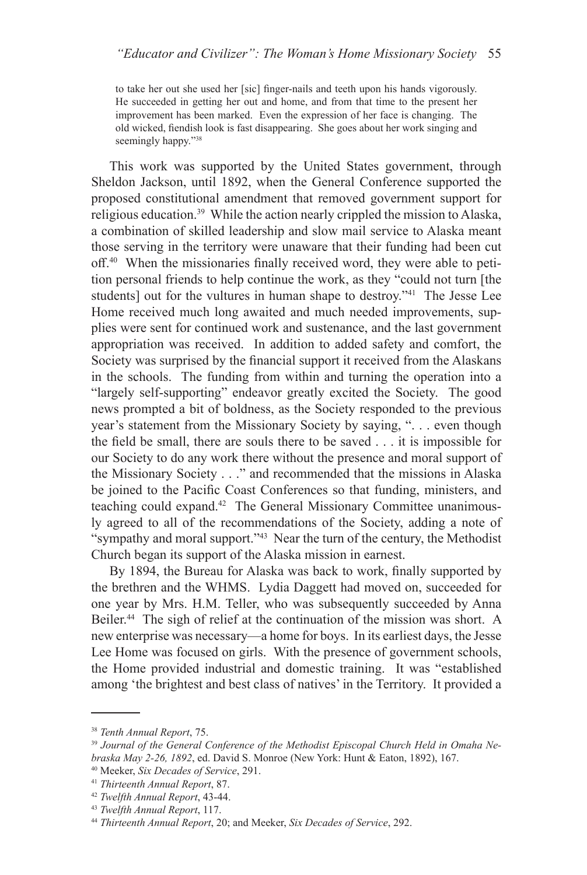to take her out she used her [sic] finger-nails and teeth upon his hands vigorously. He succeeded in getting her out and home, and from that time to the present her improvement has been marked. Even the expression of her face is changing. The old wicked, fiendish look is fast disappearing. She goes about her work singing and seemingly happy."<sup>38</sup>

This work was supported by the United States government, through Sheldon Jackson, until 1892, when the General Conference supported the proposed constitutional amendment that removed government support for religious education.39 While the action nearly crippled the mission to Alaska, a combination of skilled leadership and slow mail service to Alaska meant those serving in the territory were unaware that their funding had been cut off.40 When the missionaries finally received word, they were able to petition personal friends to help continue the work, as they "could not turn [the students] out for the vultures in human shape to destroy."<sup>41</sup> The Jesse Lee Home received much long awaited and much needed improvements, supplies were sent for continued work and sustenance, and the last government appropriation was received. In addition to added safety and comfort, the Society was surprised by the financial support it received from the Alaskans in the schools. The funding from within and turning the operation into a "largely self-supporting" endeavor greatly excited the Society. The good news prompted a bit of boldness, as the Society responded to the previous year's statement from the Missionary Society by saying, ". . . even though the field be small, there are souls there to be saved . . . it is impossible for our Society to do any work there without the presence and moral support of the Missionary Society . . ." and recommended that the missions in Alaska be joined to the Pacific Coast Conferences so that funding, ministers, and teaching could expand.42 The General Missionary Committee unanimously agreed to all of the recommendations of the Society, adding a note of "sympathy and moral support."43 Near the turn of the century, the Methodist Church began its support of the Alaska mission in earnest.

By 1894, the Bureau for Alaska was back to work, finally supported by the brethren and the WHMS. Lydia Daggett had moved on, succeeded for one year by Mrs. H.M. Teller, who was subsequently succeeded by Anna Beiler.<sup>44</sup> The sigh of relief at the continuation of the mission was short. A new enterprise was necessary—a home for boys. In its earliest days, the Jesse Lee Home was focused on girls. With the presence of government schools, the Home provided industrial and domestic training. It was "established among 'the brightest and best class of natives' in the Territory. It provided a

<sup>&</sup>lt;sup>38</sup> *Tenth Annual Report, 75.*<br><sup>39</sup> Journal of the General Conference of the Methodist Episcopal Church Held in Omaha Nebraska May 2-26, 1892, ed. David S. Monroe (New York: Hunt & Eaton, 1892), 167.<br>
<sup>40</sup> Meeker, *Six Decades of Service*, 291.<br>
<sup>41</sup> Thirteenth Annual Report, 87.<br>
<sup>42</sup> Twelfth Annual Report, 43-44.<br>
<sup>43</sup> Twelfth Annual Repo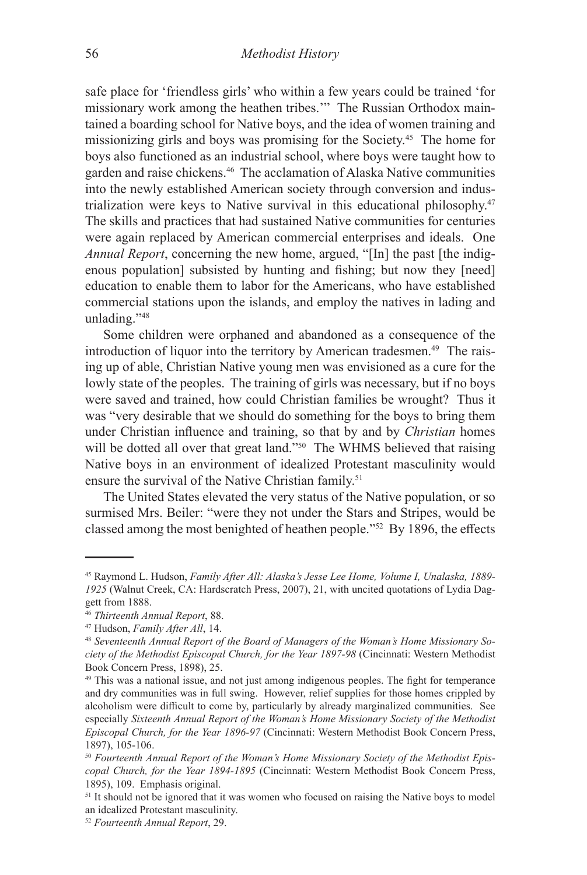safe place for 'friendless girls' who within a few years could be trained 'for missionary work among the heathen tribes.'" The Russian Orthodox maintained a boarding school for Native boys, and the idea of women training and missionizing girls and boys was promising for the Society.45 The home for boys also functioned as an industrial school, where boys were taught how to garden and raise chickens.46 The acclamation of Alaska Native communities into the newly established American society through conversion and industrialization were keys to Native survival in this educational philosophy.47 The skills and practices that had sustained Native communities for centuries were again replaced by American commercial enterprises and ideals. One *Annual Report*, concerning the new home, argued, "[In] the past [the indigenous population] subsisted by hunting and fishing; but now they [need] education to enable them to labor for the Americans, who have established commercial stations upon the islands, and employ the natives in lading and unlading."48

Some children were orphaned and abandoned as a consequence of the introduction of liquor into the territory by American tradesmen.<sup>49</sup> The raising up of able, Christian Native young men was envisioned as a cure for the lowly state of the peoples. The training of girls was necessary, but if no boys were saved and trained, how could Christian families be wrought? Thus it was "very desirable that we should do something for the boys to bring them under Christian influence and training, so that by and by *Christian* homes will be dotted all over that great land."<sup>50</sup> The WHMS believed that raising Native boys in an environment of idealized Protestant masculinity would ensure the survival of the Native Christian family.<sup>51</sup>

The United States elevated the very status of the Native population, or so surmised Mrs. Beiler: "were they not under the Stars and Stripes, would be classed among the most benighted of heathen people."52 By 1896, the effects

<sup>45</sup> Raymond L. Hudson, *Family After All: Alaska's Jesse Lee Home, Volume I, Unalaska, 1889- 1925* (Walnut Creek, CA: Hardscratch Press, 2007), 21, with uncited quotations of Lydia Daggett from 1888.

<sup>&</sup>lt;sup>46</sup> *Thirteenth Annual Report*, 88.<br><sup>47</sup> Hudson, *Family After All*, 14.<br><sup>48</sup> *Seventeenth Annual Report of the Board of Managers of the Woman's Home Missionary Society of the Methodist Episcopal Church, for the Year 1897-98* (Cincinnati: Western Methodist Book Concern Press, 1898), 25.

<sup>49</sup> This was a national issue, and not just among indigenous peoples. The fight for temperance and dry communities was in full swing. However, relief supplies for those homes crippled by alcoholism were difficult to come by, particularly by already marginalized communities. See especially *Sixteenth Annual Report of the Woman's Home Missionary Society of the Methodist Episcopal Church, for the Year 1896-97* (Cincinnati: Western Methodist Book Concern Press, 1897), 105-106.

<sup>50</sup> *Fourteenth Annual Report of the Woman's Home Missionary Society of the Methodist Episcopal Church, for the Year 1894-1895* (Cincinnati: Western Methodist Book Concern Press, 1895), 109. Emphasis original.

<sup>&</sup>lt;sup>51</sup> It should not be ignored that it was women who focused on raising the Native boys to model an idealized Protestant masculinity.

<sup>52</sup> *Fourteenth Annual Report*, 29.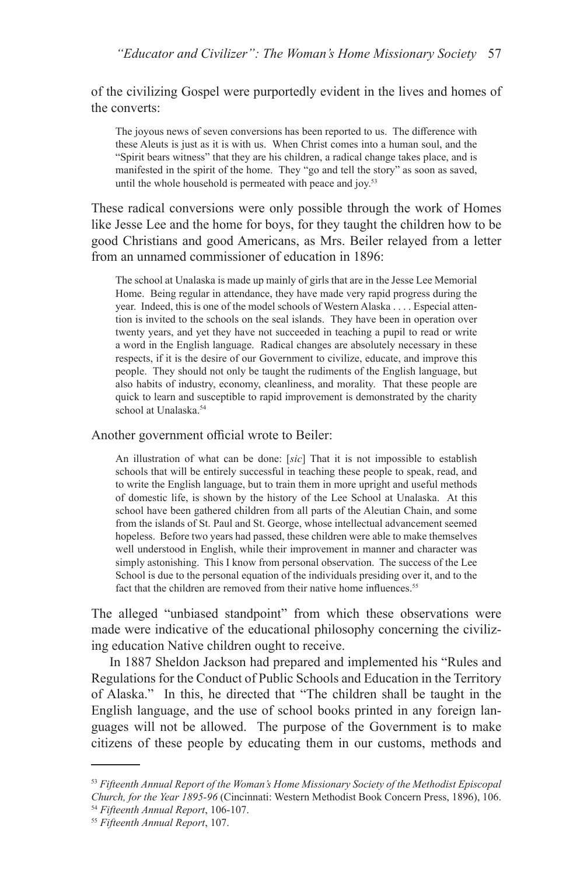of the civilizing Gospel were purportedly evident in the lives and homes of the converts:

The joyous news of seven conversions has been reported to us. The difference with these Aleuts is just as it is with us. When Christ comes into a human soul, and the "Spirit bears witness" that they are his children, a radical change takes place, and is manifested in the spirit of the home. They "go and tell the story" as soon as saved, until the whole household is permeated with peace and joy.<sup>53</sup>

These radical conversions were only possible through the work of Homes like Jesse Lee and the home for boys, for they taught the children how to be good Christians and good Americans, as Mrs. Beiler relayed from a letter from an unnamed commissioner of education in 1896:

The school at Unalaska is made up mainly of girls that are in the Jesse Lee Memorial Home. Being regular in attendance, they have made very rapid progress during the year. Indeed, this is one of the model schools of Western Alaska . . . . Especial attention is invited to the schools on the seal islands. They have been in operation over twenty years, and yet they have not succeeded in teaching a pupil to read or write a word in the English language. Radical changes are absolutely necessary in these respects, if it is the desire of our Government to civilize, educate, and improve this people. They should not only be taught the rudiments of the English language, but also habits of industry, economy, cleanliness, and morality. That these people are quick to learn and susceptible to rapid improvement is demonstrated by the charity school at Unalaska.<sup>54</sup>

## Another government official wrote to Beiler:

An illustration of what can be done: [*sic*] That it is not impossible to establish schools that will be entirely successful in teaching these people to speak, read, and to write the English language, but to train them in more upright and useful methods of domestic life, is shown by the history of the Lee School at Unalaska. At this school have been gathered children from all parts of the Aleutian Chain, and some from the islands of St. Paul and St. George, whose intellectual advancement seemed hopeless. Before two years had passed, these children were able to make themselves well understood in English, while their improvement in manner and character was simply astonishing. This I know from personal observation. The success of the Lee School is due to the personal equation of the individuals presiding over it, and to the fact that the children are removed from their native home influences.<sup>55</sup>

The alleged "unbiased standpoint" from which these observations were made were indicative of the educational philosophy concerning the civilizing education Native children ought to receive.

In 1887 Sheldon Jackson had prepared and implemented his "Rules and Regulations for the Conduct of Public Schools and Education in the Territory of Alaska." In this, he directed that "The children shall be taught in the English language, and the use of school books printed in any foreign languages will not be allowed. The purpose of the Government is to make citizens of these people by educating them in our customs, methods and

<sup>53</sup> *Fifteenth Annual Report of the Woman's Home Missionary Society of the Methodist Episcopal Church, for the Year 1895-96* (Cincinnati: Western Methodist Book Concern Press, 1896), 106. 54 *Fifteenth Annual Report*, 106-107. 55 *Fifteenth Annual Report*, 107.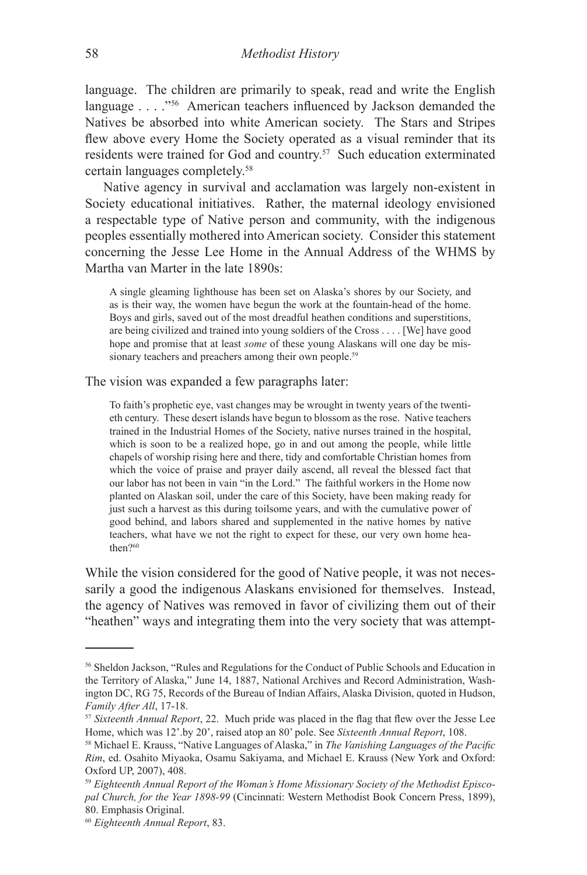language. The children are primarily to speak, read and write the English language . . . ."<sup>56</sup> American teachers influenced by Jackson demanded the Natives be absorbed into white American society. The Stars and Stripes flew above every Home the Society operated as a visual reminder that its residents were trained for God and country.57 Such education exterminated certain languages completely.58

Native agency in survival and acclamation was largely non-existent in Society educational initiatives. Rather, the maternal ideology envisioned a respectable type of Native person and community, with the indigenous peoples essentially mothered into American society. Consider this statement concerning the Jesse Lee Home in the Annual Address of the WHMS by Martha van Marter in the late 1890s:

A single gleaming lighthouse has been set on Alaska's shores by our Society, and as is their way, the women have begun the work at the fountain-head of the home. Boys and girls, saved out of the most dreadful heathen conditions and superstitions, are being civilized and trained into young soldiers of the Cross . . . . [We] have good hope and promise that at least *some* of these young Alaskans will one day be missionary teachers and preachers among their own people.<sup>59</sup>

The vision was expanded a few paragraphs later:

To faith's prophetic eye, vast changes may be wrought in twenty years of the twentieth century. These desert islands have begun to blossom as the rose. Native teachers trained in the Industrial Homes of the Society, native nurses trained in the hospital, which is soon to be a realized hope, go in and out among the people, while little chapels of worship rising here and there, tidy and comfortable Christian homes from which the voice of praise and prayer daily ascend, all reveal the blessed fact that our labor has not been in vain "in the Lord." The faithful workers in the Home now planted on Alaskan soil, under the care of this Society, have been making ready for just such a harvest as this during toilsome years, and with the cumulative power of good behind, and labors shared and supplemented in the native homes by native teachers, what have we not the right to expect for these, our very own home heathen?60

While the vision considered for the good of Native people, it was not necessarily a good the indigenous Alaskans envisioned for themselves. Instead, the agency of Natives was removed in favor of civilizing them out of their "heathen" ways and integrating them into the very society that was attempt-

<sup>56</sup> Sheldon Jackson, "Rules and Regulations for the Conduct of Public Schools and Education in the Territory of Alaska," June 14, 1887, National Archives and Record Administration, Washington DC, RG 75, Records of the Bureau of Indian Affairs, Alaska Division, quoted in Hudson, *Family After All*, 17-18.<br><sup>57</sup> *Sixteenth Annual Report*, 22. Much pride was placed in the flag that flew over the Jesse Lee

Home, which was 12'.by 20', raised atop an 80' pole. See *Sixteenth Annual Report*, 108. 58 Michael E. Krauss, "Native Languages of Alaska," in *The Vanishing Languages of the Pacific* 

*Rim*, ed. Osahito Miyaoka, Osamu Sakiyama, and Michael E. Krauss (New York and Oxford: Oxford UP, 2007), 408.

<sup>59</sup> *Eighteenth Annual Report of the Woman's Home Missionary Society of the Methodist Episcopal Church, for the Year 1898-99* (Cincinnati: Western Methodist Book Concern Press, 1899), 80. Emphasis Original.

<sup>60</sup> *Eighteenth Annual Report*, 83.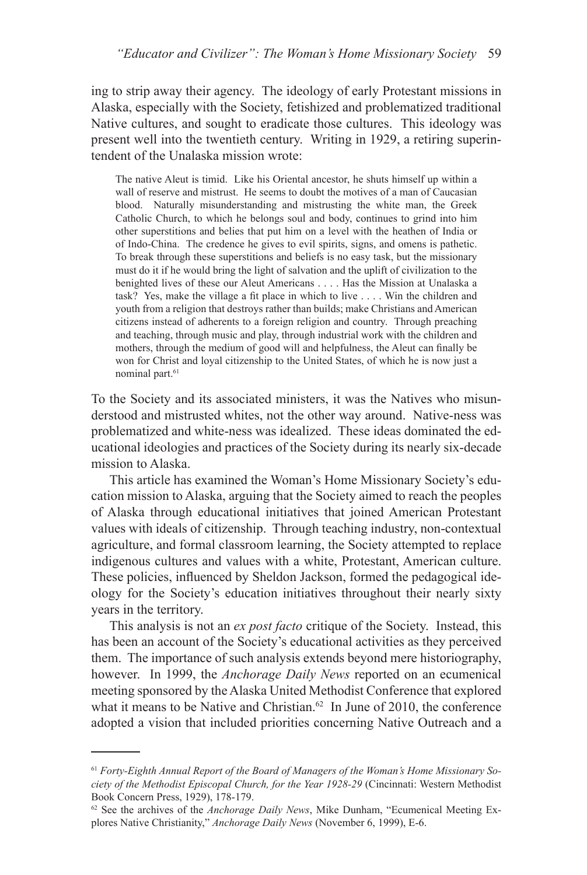ing to strip away their agency. The ideology of early Protestant missions in Alaska, especially with the Society, fetishized and problematized traditional Native cultures, and sought to eradicate those cultures. This ideology was present well into the twentieth century. Writing in 1929, a retiring superintendent of the Unalaska mission wrote:

The native Aleut is timid. Like his Oriental ancestor, he shuts himself up within a wall of reserve and mistrust. He seems to doubt the motives of a man of Caucasian blood. Naturally misunderstanding and mistrusting the white man, the Greek Catholic Church, to which he belongs soul and body, continues to grind into him other superstitions and belies that put him on a level with the heathen of India or of Indo-China. The credence he gives to evil spirits, signs, and omens is pathetic. To break through these superstitions and beliefs is no easy task, but the missionary must do it if he would bring the light of salvation and the uplift of civilization to the benighted lives of these our Aleut Americans . . . . Has the Mission at Unalaska a task? Yes, make the village a fit place in which to live . . . . Win the children and youth from a religion that destroys rather than builds; make Christians and American citizens instead of adherents to a foreign religion and country. Through preaching and teaching, through music and play, through industrial work with the children and mothers, through the medium of good will and helpfulness, the Aleut can finally be won for Christ and loyal citizenship to the United States, of which he is now just a nominal part.<sup>61</sup>

To the Society and its associated ministers, it was the Natives who misunderstood and mistrusted whites, not the other way around. Native-ness was problematized and white-ness was idealized. These ideas dominated the educational ideologies and practices of the Society during its nearly six-decade mission to Alaska.

This article has examined the Woman's Home Missionary Society's education mission to Alaska, arguing that the Society aimed to reach the peoples of Alaska through educational initiatives that joined American Protestant values with ideals of citizenship. Through teaching industry, non-contextual agriculture, and formal classroom learning, the Society attempted to replace indigenous cultures and values with a white, Protestant, American culture. These policies, influenced by Sheldon Jackson, formed the pedagogical ideology for the Society's education initiatives throughout their nearly sixty years in the territory.

This analysis is not an *ex post facto* critique of the Society. Instead, this has been an account of the Society's educational activities as they perceived them. The importance of such analysis extends beyond mere historiography, however. In 1999, the *Anchorage Daily News* reported on an ecumenical meeting sponsored by the Alaska United Methodist Conference that explored what it means to be Native and Christian. $62$  In June of 2010, the conference adopted a vision that included priorities concerning Native Outreach and a

<sup>61</sup> *Forty-Eighth Annual Report of the Board of Managers of the Woman's Home Missionary Society of the Methodist Episcopal Church, for the Year 1928-29* (Cincinnati: Western Methodist Book Concern Press, 1929), 178-179.

<sup>62</sup> See the archives of the *Anchorage Daily News*, Mike Dunham, "Ecumenical Meeting Explores Native Christianity," *Anchorage Daily News* (November 6, 1999), E-6.